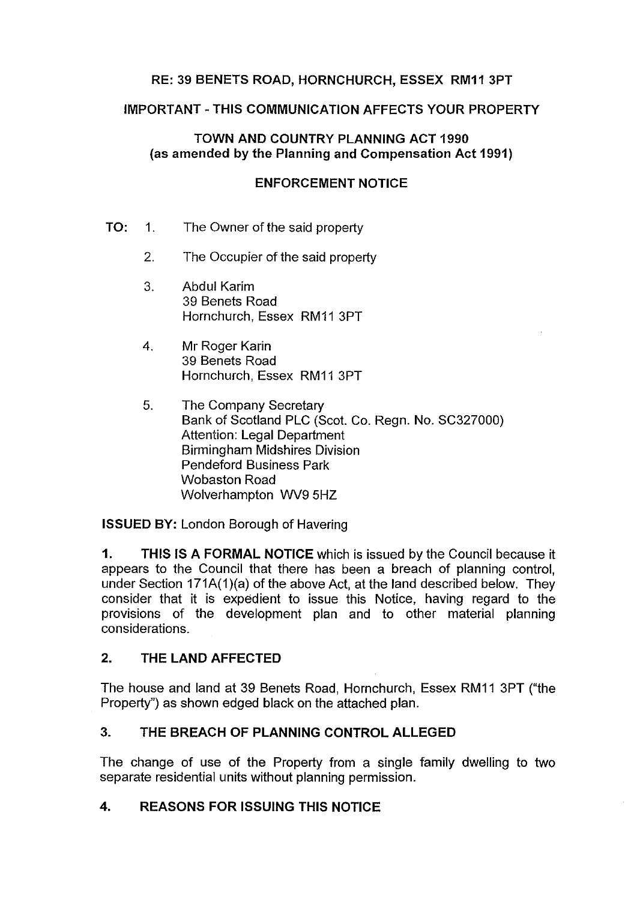# **RE: 39 BENETS ROAD, HORNCHURCH, ESSEX RM11 3PT**

## **IMPORTANT· THIS COMMUNICATION AFFECTS YOUR PROPERTY**

## **TOWN AND COUNTRY PLANNING ACT 1990 (as amended by the Planning and Compensation Act 1991)**

# **ENFORCEMENT NOTICE**

- **TO: 1.** The Owner of the said property
	- 2. The Occupier of the said property
	- 3. Abdul Karim 39 Benets Road Hornchurch, Essex RM11 3PT
	- 4. Mr Roger Karin 39 Benets Road Hornchurch, Essex RM11 3PT
	- 5. The Company Secretary Bank of Scotland PLC (Scot. Co. Regn. No. SC327000) Attention: Legal Department Birmingham Midshires Division Pendeford Business Park Wobaston Road Wolverhampton WV9 5HZ

**ISSUED BY:** London Borough of Havering

**1. THIS IS A FORMAL NOTICE** which is issued by the Council because it appears to the Council that there has been a breach of planning control, under Section 171A(1)(a) of the above Act, at the land described below. They consider that it is expedient to issue this Notice, having regard to the provisions of the development plan and to other material planning considerations.

# **2. THE LAND AFFECTED**

The house and land at 39 Benets Road, Hornchurch, Essex RM11 3PT ("the Property") as shown edged black on the attached plan.

# **3. THE BREACH OF PLANNING CONTROL ALLEGED**

The change of use of the Property from a single family dwelling to two separate residential units without planning permission.

## **4. REASONS FOR ISSUING THIS NOTICE**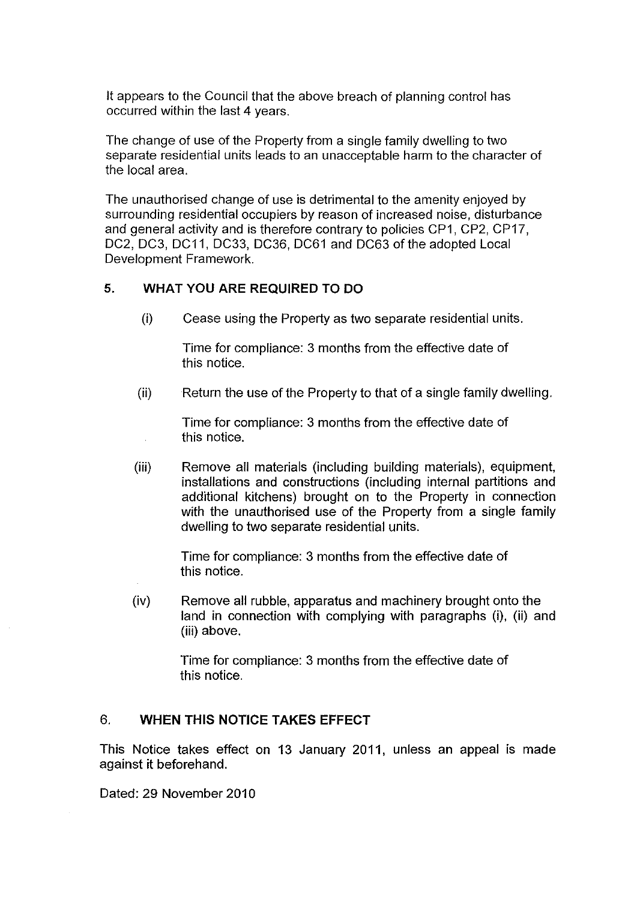It appears to the Council that the above breach of planning control has occurred within the last 4 years.

The change of use of the Property from a single family dwelling to two separate residential units leads to an unacceptable harm to the character of the local area.

The unauthorised change of use is detrimental to the amenity enjoyed by surrounding residential occupiers by reason of increased noise, disturbance and general activity and is therefore contrary to policies CP1, CP2, CP17, DC2, DC3, DC11, DC33, DC36, DC61 and DC63 of the adopted Local Development Framework.

# **5. WHAT YOU ARE REQUIRED TO DO**

(i) Cease using the Property as two separate residential units.

Time for compliance: 3 months from the effective date of this notice.

(ii) Return the use of the Property to that of a single family dwelling.

Time for compliance: 3 months from the effective date of this notice.

(iii) Remove all materials (including building materials), equipment, installations and constructions (including internal partitions and additional kitchens) brought on to the Property in connection with the unauthorised use of the Property from a single family dwelling to two separate residential units.

> Time for compliance: 3 months from the effective date of this notice.

(iv) Remove all rubble, apparatus and machinery brought onto the land in connection with complying with paragraphs (i), (ii) and (iii) above.

> Time for compliance: 3 months from the effective date of this notice.

## 6. **WHEN THIS NOTICE TAKES EFFECT**

This Notice takes effect on 13 January 2011, unless an appeal is made against it beforehand.

Dated: 29 November 2010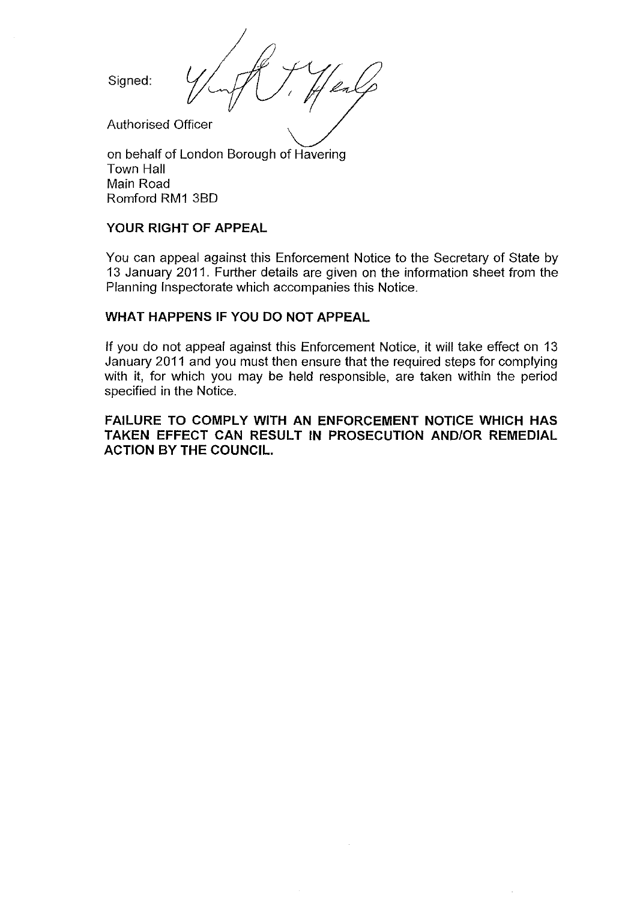Signed:

Authorised Officer

on behalf of London Borough of Havering Town Hall Main Road Romford RM1 3BO

#### **YOUR RIGHT OF APPEAL**

You can appeal against this Enforcement Notice to the Secretary of State by 13 January 2011. Further details are given on the information sheet from the Planning Inspectorate which accompanies this Notice.

#### **WHAT HAPPENS IF YOU DO NOT APPEAL**

If you do not appeal against this Enforcement Notice, it will take effect on 13 January 2011 and you must then ensure that the required steps for complying with it, for which you may be held responsible, are taken within the period specified in the Notice.

**FAILURE TO COMPLY WITH AN ENFORCEMENT NOTICE WHICH HAS TAKEN EFFECT CAN RESULT IN PROSECUTION AND/OR REMEDIAL ACTION BY THE COUNCIL.**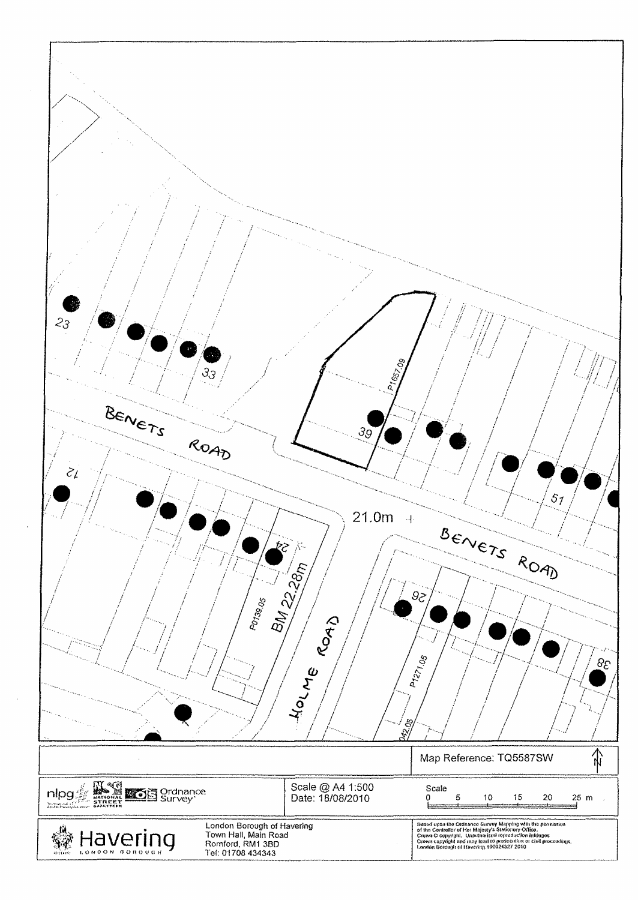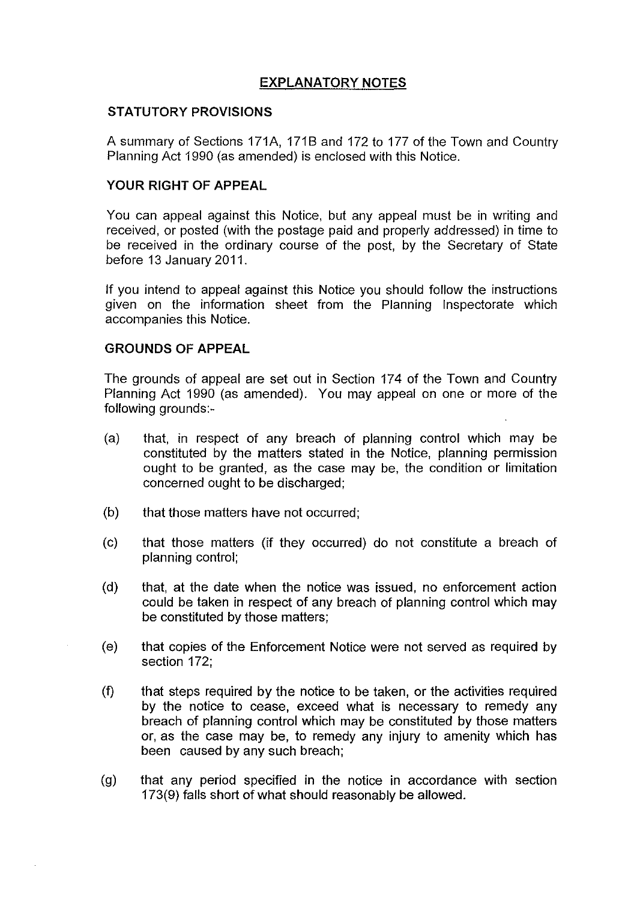# **EXPLANATORY NOTES**

#### **STATUTORY PROVISIONS**

A summary of Sections 171A, 171B and 172 to 177 of the Town and Country Planning Act 1990 (as amended) is enclosed with this Notice.

#### **YOUR RIGHT OF APPEAL**

You can appeal against this Notice, but any appeal must be in writing and received, or posted (with the postage paid and properly addressed) in time to be received in the ordinary course of the post, by the Secretary of State before 13 January 2011.

If you intend to appeal against this Notice you should follow the instructions given on the information sheet from the Planning Inspectorate which accompanies this Notice.

### **GROUNDS OF APPEAL**

The grounds of appeal are set out in Section 174 of the Town and Country Planning Act 1990 (as amended). You may appeal on one or more of the following grounds:-

- (a) that, in respect of any breach of planning control which may be constituted by the matters stated in the Notice, planning permission ought to be granted, as the case may be, the condition or limitation concerned ought to be discharged;
- (b) that those matters have not occurred;
- (c) that those matters (if they occurred) do not constitute a breach of planning control;
- (d) that, at the date when the notice was issued, no enforcement action could be taken in respect of any breach of planning control which may be constituted by those matters;
- (e) that copies of the Enforcement Notice were not served as required by section 172;
- (f) that steps required by the notice to be taken, or the activities required by the notice to cease, exceed what is necessary to remedy any breach of planning control which may be constituted by those matters or, as the case may be, to remedy any injury to amenity which has been caused by any such breach;
- (g) that any period specified in the notice in accordance with section 173(9) falls short of what should reasonably be allowed.